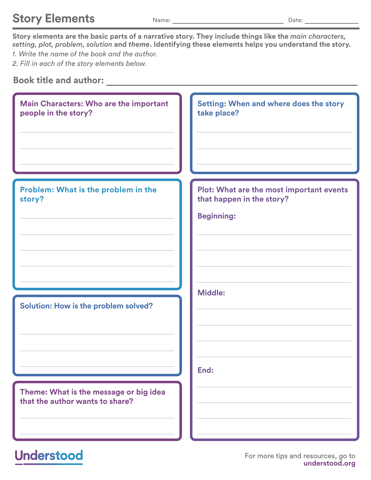**understood.org**

**Story elements are the basic parts of a narrative story. They include things like the** *main characters, setting, plot, problem, solution* **and** *theme***. Identifying these elements helps you understand the story.** *1. Write the name of the book and the author.*

*2. Fill in each of the story elements below.*

## **Book title and author:**

| Plot: What are the most important events<br>that happen in the story?<br><b>Beginning:</b> |
|--------------------------------------------------------------------------------------------|
|                                                                                            |
| <b>Middle:</b><br>End:                                                                     |
|                                                                                            |
|                                                                                            |